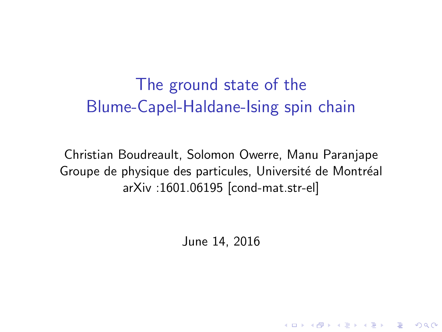The ground state of the Blume-Capel-Haldane-Ising spin chain

Christian Boudreault, Solomon Owerre, Manu Paranjape Groupe de physique des particules, Université de Montréal arXiv :1601.06195 [cond-mat.str-el]

June 14, 2016

4 D > 4 P + 4 B + 4 B + B + 9 Q O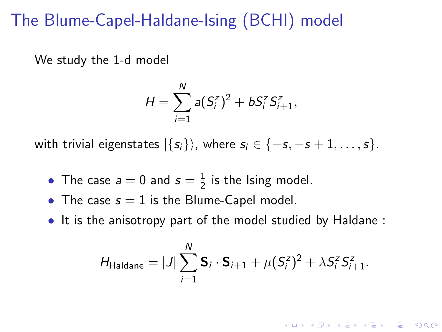## The Blume-Capel-Haldane-Ising (BCHI) model

We study the 1-d model

$$
H = \sum_{i=1}^N a(S_i^z)^2 + bS_i^z S_{i+1}^z,
$$

with trivial eigenstates  $|\{s_i\}\rangle$ , where  $s_i \in \{-s, -s+1, \ldots, s\}$ .

- The case  $a=0$  and  $s=\frac{1}{2}$  $\frac{1}{2}$  is the Ising model.
- The case  $s = 1$  is the Blume-Capel model.
- It is the anisotropy part of the model studied by Haldane :

$$
H_{\text{Haldane}} = |J| \sum_{i=1}^{N} \mathbf{S}_{i} \cdot \mathbf{S}_{i+1} + \mu (S_{i}^{z})^{2} + \lambda S_{i}^{z} S_{i+1}^{z}.
$$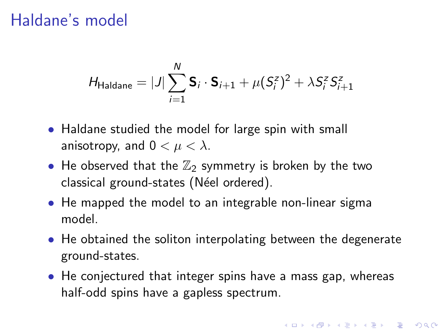### Haldane's model

$$
H_{\text{Haldane}} = |J| \sum_{i=1}^{N} \mathbf{S}_{i} \cdot \mathbf{S}_{i+1} + \mu (S_{i}^{z})^{2} + \lambda S_{i}^{z} S_{i+1}^{z}
$$

- Haldane studied the model for large spin with small anisotropy, and  $0 < \mu < \lambda$ .
- He observed that the  $\mathbb{Z}_2$  symmetry is broken by the two classical ground-states (Néel ordered).
- He mapped the model to an integrable non-linear sigma model.
- He obtained the soliton interpolating between the degenerate ground-states.
- He conjectured that integer spins have a mass gap, whereas half-odd spins have a gapless spectrum.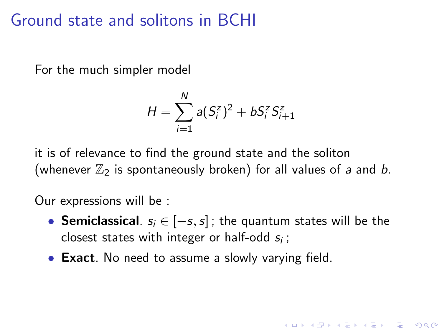## Ground state and solitons in BCHI

For the much simpler model

$$
H = \sum_{i=1}^{N} a(S_i^z)^2 + bS_i^z S_{i+1}^z
$$

it is of relevance to find the ground state and the soliton (whenever  $\mathbb{Z}_2$  is spontaneously broken) for all values of a and b.

Our expressions will be :

• Semiclassical.  $s_i \in [-s, s]$ ; the quantum states will be the closest states with integer or half-odd  $s_i$ ;

**KORK ERKER ADE YOUR** 

• Exact. No need to assume a slowly varying field.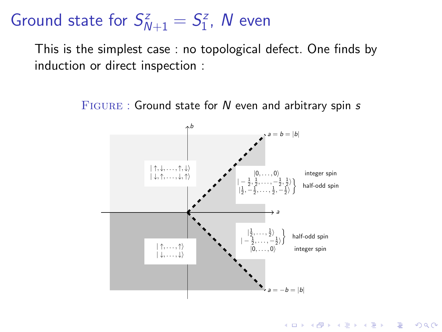#### Ground state for  $S_{N+1}^z = S_1^z$  $j_1^z$ ,  $N$  even

This is the simplest case : no topological defect. One finds by induction or direct inspection :

 $FIGURE:$  Ground state for  $N$  even and arbitrary spin  $s$ 



**KORK STRAIN A BAR SHOP**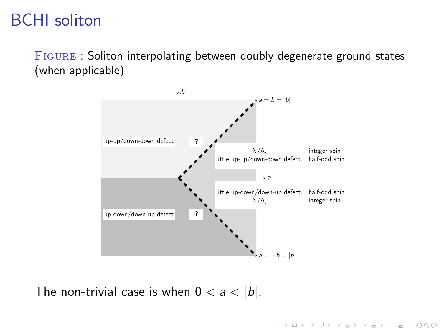# BCHI soliton

Figure : Soliton interpolating between doubly degenerate ground states (when applicable)



**KORK ERKER ADE YOUR** 

The non-trivial case is when  $0 < a < |b|$ .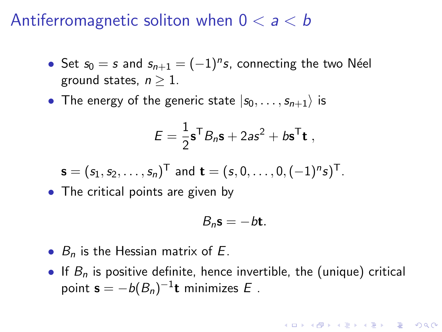#### Antiferromagnetic soliton when  $0 < a < b$

- Set  $s_0 = s$  and  $s_{n+1} = (-1)^n s$ , connecting the two Néel ground states,  $n > 1$ .
- The energy of the generic state  $|s_0, \ldots, s_{n+1}\rangle$  is

$$
E = \frac{1}{2} \mathbf{s}^\mathsf{T} B_n \mathbf{s} + 2as^2 + b \mathbf{s}^\mathsf{T} \mathbf{t} ,
$$

$$
\mathbf{s} = (s_1, s_2, \dots, s_n)^{\mathsf{T}} \text{ and } \mathbf{t} = (s, 0, \dots, 0, (-1)^n s)^{\mathsf{T}}.
$$

• The critical points are given by

$$
B_n\mathbf{s}=-b\mathbf{t}.
$$

- $B_n$  is the Hessian matrix of E.
- If  $B_n$  is positive definite, hence invertible, the (unique) critical point  $\mathbf{s} = -b(B_n)^{-1}\mathbf{t}$  minimizes  $E$  .

**KORK (FRAGE) EL POLO**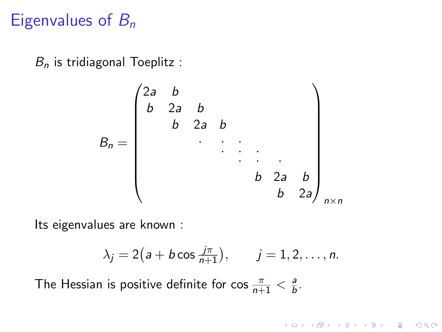# Eigenvalues of  $B_n$

 $B_n$  is tridiagonal Toeplitz :

$$
B_n = \begin{pmatrix} 2a & b & & & & & \\ b & 2a & b & & & & \\ & b & 2a & b & & & \\ & & & \ddots & \ddots & \ddots & \ddots & \\ & & & & & b & 2a & b \\ & & & & & & b & 2a \end{pmatrix}_{n \times n}
$$

Its eigenvalues are known :

$$
\lambda_j = 2\big(a + b \cos \frac{j\pi}{n+1}\big), \qquad j = 1, 2, \ldots, n.
$$

K ロ K K (P) K (E) K (E) X (E) X (P) K (P)

The Hessian is positive definite for cos  $\frac{\pi}{n+1} < \frac{a}{b}$  $\frac{a}{b}$ .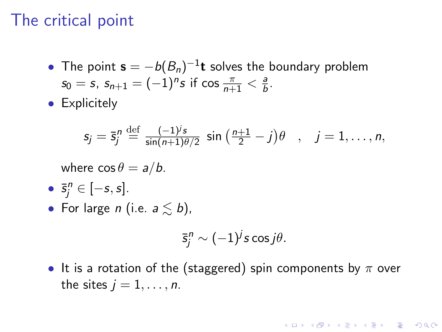## The critical point

- The point  $\mathbf{s} = -b(B_n)^{-1}\mathbf{t}$  solves the boundary problem  $s_0 = s$ ,  $s_{n+1} = (-1)^n s$  if  $\cos \frac{\pi}{n+1} < \frac{a}{b}$  $\frac{a}{b}$ .
- **•** Explicitely

$$
s_j = \overline{s}_j^n \stackrel{\text{def}}{=} \frac{(-1)^j s}{\sin(n+1)\theta/2} \sin\left(\frac{n+1}{2} - j\right)\theta \quad , \quad j = 1, \ldots, n,
$$

where  $\cos \theta = a/b$ .

- $\bar{s}_j^n \in [-s, s]$ .
- For large *n* (i.e.  $a \leq b$ ),

$$
\bar{s}_j^n \sim (-1)^j s \cos j\theta.
$$

**KORK ERKER ADE YOUR** 

• It is a rotation of the (staggered) spin components by  $\pi$  over the sites  $j = 1, \ldots, n$ .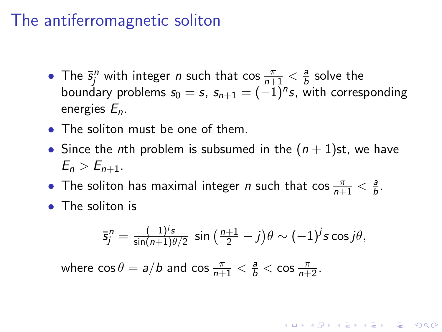## The antiferromagnetic soliton

- The  $\bar{s}_j^n$  with integer *n* such that  $\cos \frac{\pi}{n+1} < \frac{a}{b}$  $\frac{a}{b}$  solve the boundary problems  $s_0 = s$ ,  $s_{n+1} = (-1)^n s$ , with corresponding energies En.
- The soliton must be one of them.
- Since the nth problem is subsumed in the  $(n + 1)$ st, we have  $E_n > E_{n+1}$ .
- The soliton has maximal integer *n* such that  $\cos \frac{\pi}{n+1} < \frac{a}{b}$  $\frac{a}{b}$ .
- The soliton is

$$
\bar{s}_j^n = \frac{(-1)^j s}{\sin(n+1)\theta/2} \sin\left(\frac{n+1}{2} - j\right)\theta \sim (-1)^j s \cos j\theta,
$$

**KORK (FRAGE) EL POLO** 

where  $\cos \theta = a/b$  and  $\cos \frac{\pi}{n+1} < \frac{a}{b} < \cos \frac{\pi}{n+2}$ .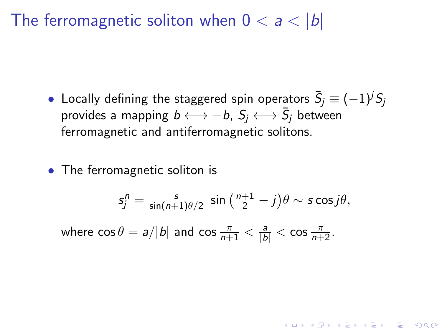The ferromagnetic soliton when  $0 < a < |b|$ 

- $\bullet\,$  Locally defining the staggered spin operators  $\bar{S}_j\equiv (-1)^j S_j$ provides a mapping  $b \longleftrightarrow -b$ ,  $S_j \longleftrightarrow \bar{S}_j$  between ferromagnetic and antiferromagnetic solitons.
- The ferromagnetic soliton is

$$
s_j^n = \frac{s}{\sin(n+1)\theta/2} \sin\left(\frac{n+1}{2} - j\right)\theta \sim s \cos j\theta,
$$

**KORKAR KERKER EL VOLO** 

where  $\cos \theta = a/|b|$  and  $\cos \frac{\pi}{n+1} < \frac{a}{|b|} < \cos \frac{\pi}{n+2}$ .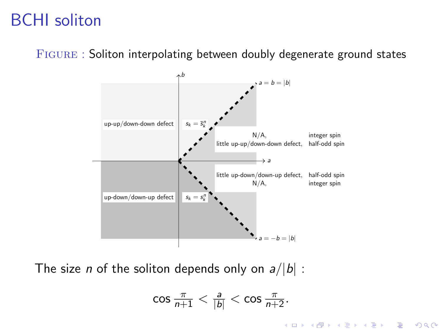## BCHI soliton

Figure : Soliton interpolating between doubly degenerate ground states



The size *n* of the soliton depends only on  $a/|b|$ :

$$
\cos \frac{\pi}{n+1} < \frac{a}{|b|} < \cos \frac{\pi}{n+2}.
$$

**KORK STRAIN A BAR SHOP**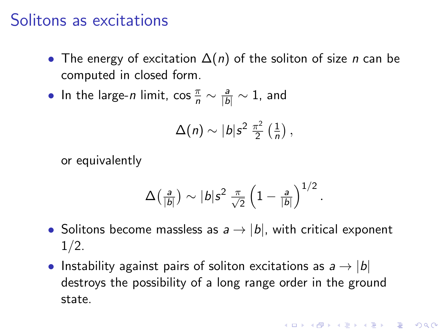#### Solitons as excitations

- The energy of excitation  $\Delta(n)$  of the soliton of size *n* can be computed in closed form.
- In the large-*n* limit, cos  $\frac{\pi}{n} \sim \frac{a}{|b|} \sim 1$ , and

$$
\Delta(n) \sim |b| s^2 \frac{\pi^2}{2} \left(\frac{1}{n}\right),
$$

or equivalently

$$
\Delta\big(\tfrac{a}{|b|}\big) \sim |b| s^2 \, \tfrac{\pi}{\sqrt{2}} \left(1 - \tfrac{a}{|b|}\right)^{1/2}.
$$

- Solitons become massless as  $a \rightarrow |b|$ , with critical exponent  $1/2$ .
- Instability against pairs of soliton excitations as  $a \rightarrow |b|$ destroys the possibility of a long range order in the ground state.

**KORKAR KERKER EL VOLO**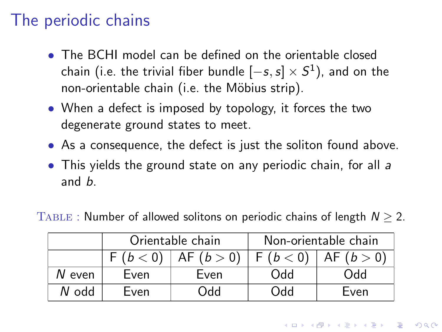# The periodic chains

- The BCHI model can be defined on the orientable closed chain (i.e. the trivial fiber bundle  $[-s,s] \times S^1)$ , and on the non-orientable chain (i.e. the Möbius strip).
- When a defect is imposed by topology, it forces the two degenerate ground states to meet.
- As a consequence, the defect is just the soliton found above.
- This yields the ground state on any periodic chain, for all a and b.

TABLE : Number of allowed solitons on periodic chains of length  $N \ge 2$ .

|        | Orientable chain |                         | Non-orientable chain |         |
|--------|------------------|-------------------------|----------------------|---------|
|        |                  | $F(b < 0)$ AF $(b > 0)$ | F (b < 0)            | AE(b>0) |
| N even | Even             | Even                    | <b>DPO</b>           | Odd     |
| N odd  | Even             | Odd                     | bbO                  | Even    |